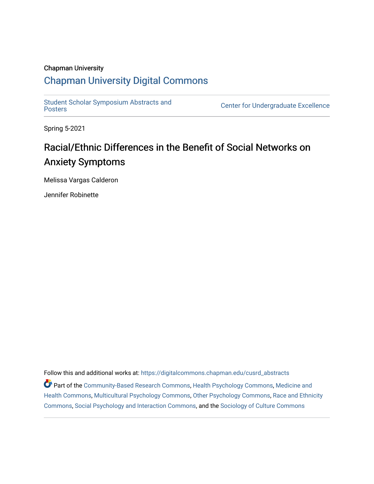### Chapman University

### [Chapman University Digital Commons](https://digitalcommons.chapman.edu/)

[Student Scholar Symposium Abstracts and](https://digitalcommons.chapman.edu/cusrd_abstracts) 

Center for Undergraduate Excellence

Spring 5-2021

### Racial/Ethnic Differences in the Benefit of Social Networks on Anxiety Symptoms

Melissa Vargas Calderon

Jennifer Robinette

Follow this and additional works at: [https://digitalcommons.chapman.edu/cusrd\\_abstracts](https://digitalcommons.chapman.edu/cusrd_abstracts?utm_source=digitalcommons.chapman.edu%2Fcusrd_abstracts%2F467&utm_medium=PDF&utm_campaign=PDFCoverPages) 

Part of the [Community-Based Research Commons](http://network.bepress.com/hgg/discipline/1047?utm_source=digitalcommons.chapman.edu%2Fcusrd_abstracts%2F467&utm_medium=PDF&utm_campaign=PDFCoverPages), [Health Psychology Commons](http://network.bepress.com/hgg/discipline/411?utm_source=digitalcommons.chapman.edu%2Fcusrd_abstracts%2F467&utm_medium=PDF&utm_campaign=PDFCoverPages), [Medicine and](http://network.bepress.com/hgg/discipline/422?utm_source=digitalcommons.chapman.edu%2Fcusrd_abstracts%2F467&utm_medium=PDF&utm_campaign=PDFCoverPages) [Health Commons,](http://network.bepress.com/hgg/discipline/422?utm_source=digitalcommons.chapman.edu%2Fcusrd_abstracts%2F467&utm_medium=PDF&utm_campaign=PDFCoverPages) [Multicultural Psychology Commons,](http://network.bepress.com/hgg/discipline/1237?utm_source=digitalcommons.chapman.edu%2Fcusrd_abstracts%2F467&utm_medium=PDF&utm_campaign=PDFCoverPages) [Other Psychology Commons](http://network.bepress.com/hgg/discipline/415?utm_source=digitalcommons.chapman.edu%2Fcusrd_abstracts%2F467&utm_medium=PDF&utm_campaign=PDFCoverPages), [Race and Ethnicity](http://network.bepress.com/hgg/discipline/426?utm_source=digitalcommons.chapman.edu%2Fcusrd_abstracts%2F467&utm_medium=PDF&utm_campaign=PDFCoverPages)  [Commons](http://network.bepress.com/hgg/discipline/426?utm_source=digitalcommons.chapman.edu%2Fcusrd_abstracts%2F467&utm_medium=PDF&utm_campaign=PDFCoverPages), [Social Psychology and Interaction Commons,](http://network.bepress.com/hgg/discipline/430?utm_source=digitalcommons.chapman.edu%2Fcusrd_abstracts%2F467&utm_medium=PDF&utm_campaign=PDFCoverPages) and the [Sociology of Culture Commons](http://network.bepress.com/hgg/discipline/431?utm_source=digitalcommons.chapman.edu%2Fcusrd_abstracts%2F467&utm_medium=PDF&utm_campaign=PDFCoverPages)